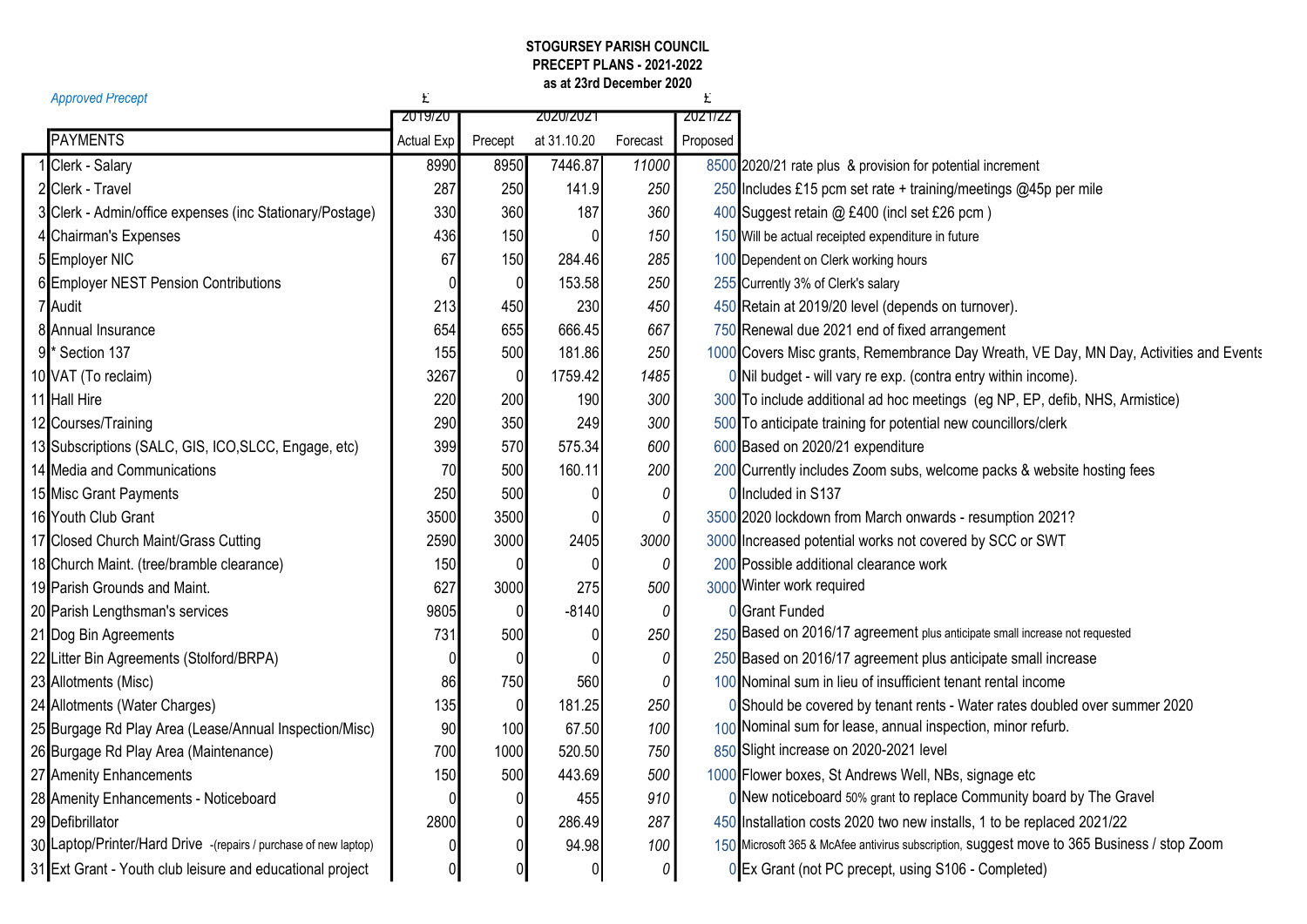## as at 23rd December 2020 STOGURSEY PARISH COUNCIL PRECEPT PLANS - 2021-2022

| <b>Approved Precept</b>                                          | £                 |                 |                  |          |          |                                                                                             |
|------------------------------------------------------------------|-------------------|-----------------|------------------|----------|----------|---------------------------------------------------------------------------------------------|
|                                                                  | 2019/20           |                 | <b>ZUZU/ZUZ1</b> |          | 2021/22  |                                                                                             |
| <b>PAYMENTS</b>                                                  | <b>Actual Exp</b> | Precept         | at 31.10.20      | Forecast | Proposed |                                                                                             |
| 1 Clerk - Salary                                                 | 8990              | 8950            | 7446.87          | 11000    |          | 8500 2020/21 rate plus & provision for potential increment                                  |
| 2 Clerk - Travel                                                 | 287               | 250             | 141.9            | 250      |          | 250 Includes £15 pcm set rate + training/meetings @45p per mile                             |
| 3 Clerk - Admin/office expenses (inc Stationary/Postage)         | 330               | 360             | 187              | 360      |          | 400 Suggest retain @ £400 (incl set £26 pcm)                                                |
| 4 Chairman's Expenses                                            | 436               | 150             | $\Omega$         | 150      |          | 150 Will be actual receipted expenditure in future                                          |
| 5 Employer NIC                                                   | 67                | 150             | 284.46           | 285      |          | 100 Dependent on Clerk working hours                                                        |
| 6 Employer NEST Pension Contributions                            |                   | $\overline{0}$  | 153.58           | 250      |          | 255 Currently 3% of Clerk's salary                                                          |
| 7 Audit                                                          | 213               | 450             | 230              | 450      |          | 450 Retain at 2019/20 level (depends on turnover).                                          |
| 8 Annual Insurance                                               | 654               | 655             | 666.45           | 667      |          | 750 Renewal due 2021 end of fixed arrangement                                               |
| 9 <sup>*</sup> Section 137                                       | 155               | 500             | 181.86           | 250      |          | 1000 Covers Misc grants, Remembrance Day Wreath, VE Day, MN Day, Activities and Events      |
| 10 VAT (To reclaim)                                              | 3267              | $\vert 0 \vert$ | 1759.42          | 1485     |          | 0 Nil budget - will vary re exp. (contra entry within income).                              |
| 11 Hall Hire                                                     | 220               | 200             | 190              | 300      |          | 300 To include additional ad hoc meetings (eg NP, EP, defib, NHS, Armistice)                |
| 12 Courses/Training                                              | 290               | 350             | 249              | 300      |          | 500 To anticipate training for potential new councillors/clerk                              |
| 13 Subscriptions (SALC, GIS, ICO, SLCC, Engage, etc)             | 399               | 570             | 575.34           | 600      |          | 600 Based on 2020/21 expenditure                                                            |
| 14 Media and Communications                                      | 70                | 500             | 160.11           | 200      |          | 200 Currently includes Zoom subs, welcome packs & website hosting fees                      |
| 15 Misc Grant Payments                                           | 250               | 500             | $\Omega$         | 0        |          | 0 Included in S137                                                                          |
| 16 Youth Club Grant                                              | 3500              | 3500            | 0                | $\it{0}$ |          | 3500 2020 lockdown from March onwards - resumption 2021?                                    |
| 17 Closed Church Maint/Grass Cutting                             | 2590              | 3000            | 2405             | 3000     |          | 3000 Increased potential works not covered by SCC or SWT                                    |
| 18 Church Maint. (tree/bramble clearance)                        | 150               |                 | $\Omega$         | 0        |          | 200 Possible additional clearance work                                                      |
| 19 Parish Grounds and Maint.                                     | 627               | 3000            | 275              | 500      |          | 3000 Winter work required                                                                   |
| 20 Parish Lengthsman's services                                  | 9805              |                 | $-8140$          | 0        |          | 0 Grant Funded                                                                              |
| 21 Dog Bin Agreements                                            | 731               | 500             | $\mathbf 0$      | 250      |          | 250 Based on 2016/17 agreement plus anticipate small increase not requested                 |
| 22 Litter Bin Agreements (Stolford/BRPA)                         |                   |                 | $\Omega$         | 0        |          | 250 Based on 2016/17 agreement plus anticipate small increase                               |
| 23 Allotments (Misc)                                             | 86                | 750             | 560              | 0        |          | 100 Nominal sum in lieu of insufficient tenant rental income                                |
| 24 Allotments (Water Charges)                                    | 135               | $\overline{0}$  | 181.25           | 250      |          | 0 Should be covered by tenant rents - Water rates doubled over summer 2020                  |
| 25 Burgage Rd Play Area (Lease/Annual Inspection/Misc)           | 90                | 100             | 67.50            | 100      |          | 100 Nominal sum for lease, annual inspection, minor refurb.                                 |
| 26 Burgage Rd Play Area (Maintenance)                            | 700               | 1000            | 520.50           | 750      |          | 850 Slight increase on 2020-2021 level                                                      |
| 27 Amenity Enhancements                                          | 150               | 500             | 443.69           | 500      |          | 1000 Flower boxes, St Andrews Well, NBs, signage etc                                        |
| 28 Amenity Enhancements - Noticeboard                            |                   | $\overline{0}$  | 455              | 910      |          | 0 New noticeboard 50% grant to replace Community board by The Gravel                        |
| 29 Defibrillator                                                 | 2800              | $\overline{0}$  | 286.49           | 287      |          | 450 Installation costs 2020 two new installs, 1 to be replaced 2021/22                      |
| 30 Laptop/Printer/Hard Drive -(repairs / purchase of new laptop) |                   |                 | 94.98            | 100      |          | 150 Microsoft 365 & McAfee antivirus subscription, suggest move to 365 Business / stop Zoom |
| 31 Ext Grant - Youth club leisure and educational project        | 0                 | 0               | $\pmb{0}$        | 0        |          | 0 Ex Grant (not PC precept, using S106 - Completed)                                         |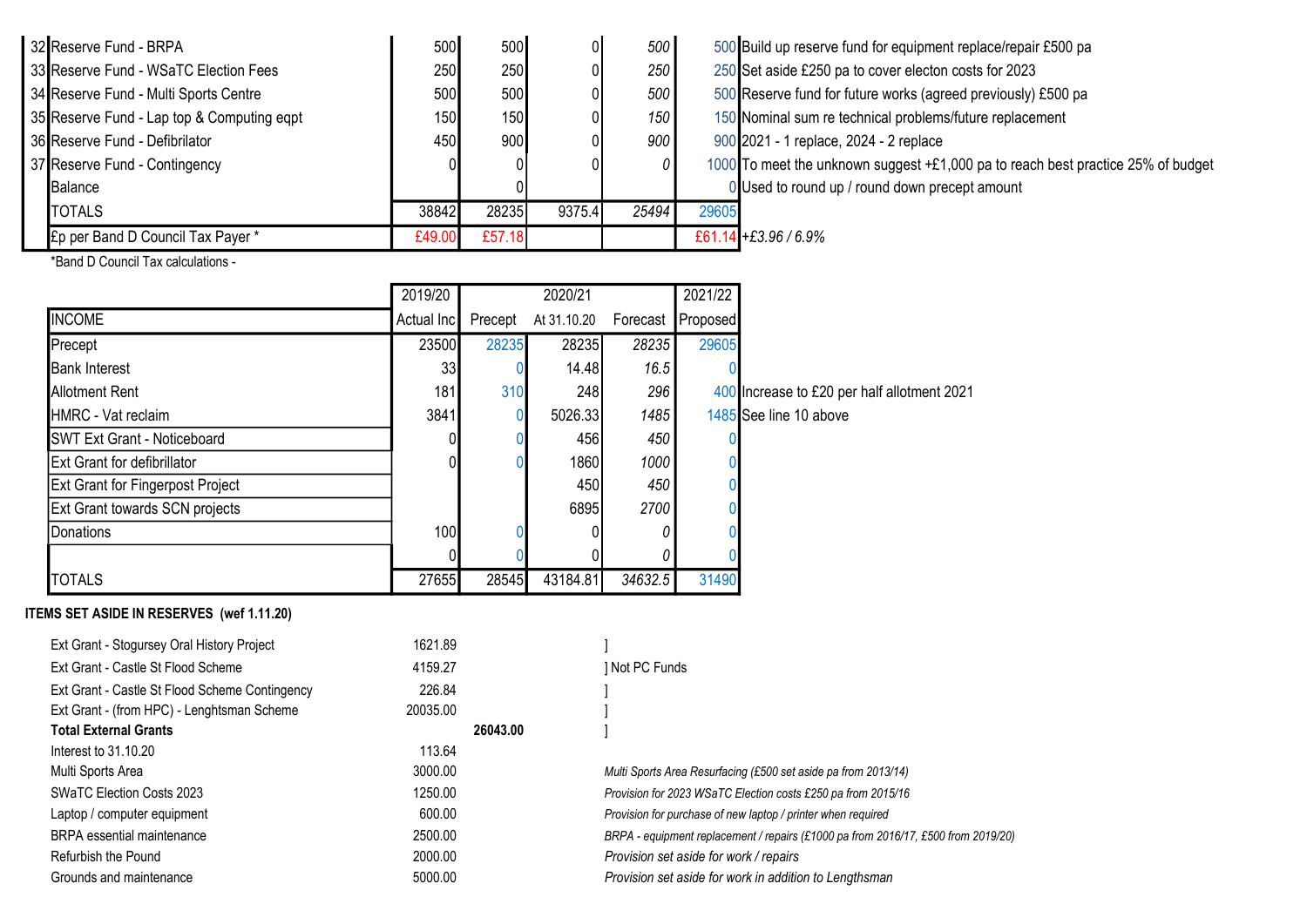| 32 Reserve Fund - BRPA                     | 500    | 500    |        | 500   |       | 500 Build up reserve |
|--------------------------------------------|--------|--------|--------|-------|-------|----------------------|
| 33 Reserve Fund - WSaTC Election Fees      | 250    | 250    |        | 250   |       | 250 Set aside £250   |
| 34 Reserve Fund - Multi Sports Centre      | 500    | 500    |        | 500   |       | 500 Reserve fund fo  |
| 35 Reserve Fund - Lap top & Computing eqpt | 150    | 150    |        | 150   |       | 150 Nominal sum re   |
| 36 Reserve Fund - Defibrilator             | 450    | 900    |        | 900   |       | 900 2021 - 1 replace |
| 37 Reserve Fund - Contingency              |        |        |        |       |       | 1000 To meet the unk |
| Balance                                    |        |        |        |       |       | 0 Used to round u    |
| <b>TOTALS</b>                              | 38842  | 28235  | 9375.4 | 25494 | 29605 |                      |
| £p per Band D Council Tax Payer *          | £49.00 | £57.18 |        |       |       | £61.14 +£3.96 / 6.9% |

- fund for equipment replace/repair £500 pa pa to cover electon costs for 2023 34 Sports Fund areserve Fund it Sports Centre works (agreed previously) £500 pa technical problems/future replacement e, 2024 - 2 replace
- known suggest +£1,000 pa to reach best practice 25% of budget up / round down precept amount

\*Band D Council Tax calculations -

|                                         | 2019/20    |         | 2020/21     |          | 2021/22  |                                             |
|-----------------------------------------|------------|---------|-------------|----------|----------|---------------------------------------------|
| <b>INCOME</b>                           | Actual Inc | Precept | At 31.10.20 | Forecast | Proposed |                                             |
| Precept                                 | 23500      | 28235   | 28235       | 28235    | 29605    |                                             |
| <b>Bank Interest</b>                    | 33         |         | 14.48       | 16.5     |          |                                             |
| <b>Allotment Rent</b>                   | 181        | 310     | 248         | 296      |          | 400 Increase to £20 per half allotment 2021 |
| <b>HMRC</b> - Vat reclaim               | 3841       |         | 5026.33     | 1485     |          | 1485 See line 10 above                      |
| <b>SWT Ext Grant - Noticeboard</b>      |            |         | 456         | 450      |          |                                             |
| <b>Ext Grant for defibrillator</b>      |            |         | 1860        | 1000     |          |                                             |
| <b>Ext Grant for Fingerpost Project</b> |            |         | 450         | 450      |          |                                             |
| <b>Ext Grant towards SCN projects</b>   |            |         | 6895        | 2700     |          |                                             |
| Donations                               | 100        |         |             |          |          |                                             |
|                                         |            |         |             |          |          |                                             |
| <b>TOTALS</b>                           | 27655      | 28545   | 43184.81    | 34632.5  | 31490    |                                             |

## ITEMS SET ASIDE IN RESERVES (wef 1.11.20)

| 1621.89<br>Ext Grant - Stogursey Oral History Project    |          |                                                                                   |
|----------------------------------------------------------|----------|-----------------------------------------------------------------------------------|
| Ext Grant - Castle St Flood Scheme<br>4159.27            |          | ] Not PC Funds                                                                    |
| Ext Grant - Castle St Flood Scheme Contingency<br>226.84 |          |                                                                                   |
| Ext Grant - (from HPC) - Lenghtsman Scheme<br>20035.00   |          |                                                                                   |
| <b>Total External Grants</b>                             | 26043.00 |                                                                                   |
| 113.64<br>Interest to 31.10.20                           |          |                                                                                   |
| 3000.00<br>Multi Sports Area                             |          | Multi Sports Area Resurfacing (£500 set aside pa from 2013/14)                    |
| 1250.00<br><b>SWaTC Election Costs 2023</b>              |          | Provision for 2023 WSaTC Election costs £250 pa from 2015/16                      |
| 600.00<br>Laptop / computer equipment                    |          | Provision for purchase of new laptop / printer when required                      |
| 2500.00<br><b>BRPA</b> essential maintenance             |          | BRPA - equipment replacement / repairs (£1000 pa from 2016/17, £500 from 2019/20) |
| 2000.00<br>Refurbish the Pound                           |          | Provision set aside for work / repairs                                            |
| Grounds and maintenance<br>5000.00                       |          | Provision set aside for work in addition to Lengthsman                            |